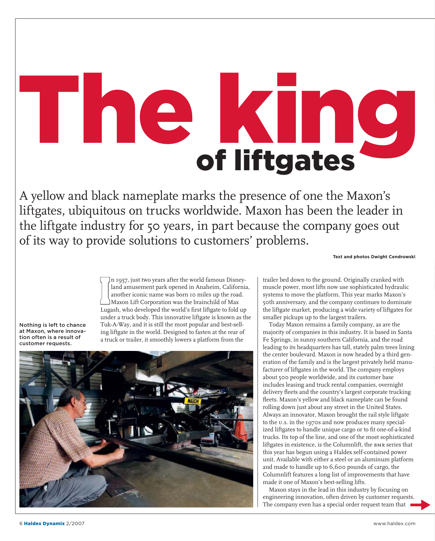## **BUCK LINE**

A yellow and black nameplate marks the presence of one the Maxon's liftgates, ubiquitous on trucks worldwide. Maxon has been the leader in the liftgate industry for 50 years, in part because the company goes out of its way to provide solutions to customers' problems.

**Text and photos Dwight Cendrowski** 

Nothing is left to chance at Maxon, where innovation often is a result of customer requests

In 1957, just two years after the world famous Disney-<br>
land amusement park opened in Anaheim, California<br>
another iconic name was born 10 miles up the road.<br>
Maxon Lift Corporation was the brainchild of Max<br>
Lugash, who d n 1957, just two years after the world famous Disneyland amusement park opened in Anaheim, California, another iconic name was born 10 miles up the road. Maxon Lift Corporation was the brainchild of Max under a truck body. This innovative liftgate is known as the Tuk-A-Way, and it is still the most popular and best-selling liftgate in the world. Designed to fasten at the rear of a truck or trailer, it smoothly lowers a platform from the



trailer bed down to the ground. Originally cranked with muscle power, most lifts now use sophisticated hydraulic systems to move the platform. This year marks Maxon's 50th anniversary, and the company continues to dominate the liftgate market, producing a wide variety of liftgates for smaller pickups up to the largest trailers.

Today Maxon remains a family company, as are the majority of companies in this industry. It is based in Santa Fe Springs, in sunny southern California, and the road leading to its headquarters has tall, stately palm trees lining the center boulevard. Maxon is now headed by a third generation of the family and is the largest privately held manufacturer of liftgates in the world. The company employs about 500 people worldwide, and its customer base includes leasing and truck rental companies, overnight delivery fleets and the country's largest corporate trucking fleets. Maxon's yellow and black nameplate can be found rolling down just about any street in the United States. Always an innovator, Maxon brought the rail style liftgate to the u.s. in the 1970s and now produces many specialized liftgates to handle unique cargo or to fit one-of-a-kind trucks. Its top of the line, and one of the most sophisticated liftgates in existence, is the Columnlift, the bmr series that this year has begun using a Haldex self-contained power unit. Available with either a steel or an aluminum platform and made to handle up to 6,600 pounds of cargo, the Columnlift features a long list of improvements that have made it one of Maxon's best-selling lifts.

Maxon stays in the lead in this industry by focusing on engineering innovation, often driven by customer requests. The company even has a special order request team that  $\overrightarrow{ }$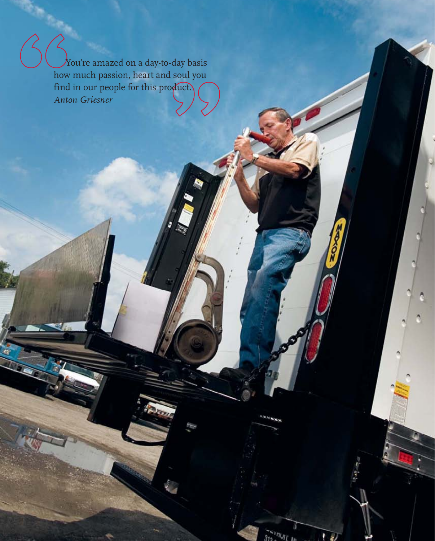$\lambda$ ou're amazed on a day-to-day basis how much passion, heart and soul you find in our people for this product.) *Anton Griesner*

 $\overline{\mathcal{C}}$ 

ee  $\sim$  100  $\sim$  100  $\sim$  100  $\sim$  100  $\sim$  100  $\sim$  100  $\sim$  100  $\sim$  100  $\sim$  100  $\sim$  100  $\sim$  100  $\sim$  100  $\sim$  100  $\sim$  100  $\sim$  100  $\sim$  100  $\sim$  100  $\sim$  100  $\sim$  100  $\sim$  100  $\sim$  100  $\sim$  100  $\sim$  100  $\sim$  100  $\$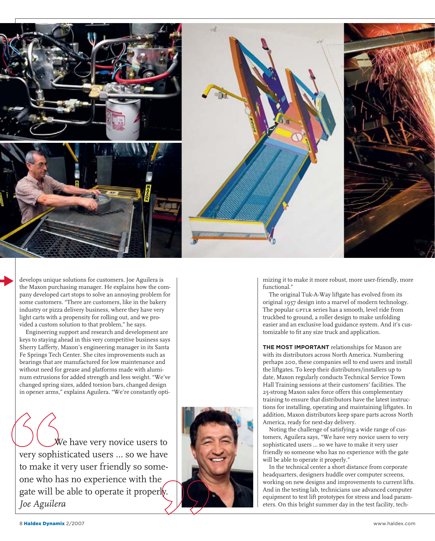

develops unique solutions for customers. Joe Aguilera is the Maxon purchasing manager. He explains how the company developed cart stops to solve an annoying problem for some customers. "There are customers, like in the bakery industry or pizza delivery business, where they have very light carts with a propensity for rolling out, and we provided a custom solution to that problem," he says.

Engineering support and research and development are keys to staying ahead in this very competitive business says Sherry Lafferty, Maxon's engineering manager in its Santa Fe Springs Tech Center. She cites improvements such as bearings that are manufactured for low maintenance and without need for grease and platforms made with aluminum extrusions for added strength and less weight. "We've changed spring sizes, added torsion bars, changed design in opener arms," explains Aguilera. "We're constantly opti-

We have very novice users to very sophisticated users … so we have to make it very user friendly so someone who has no experience with the gate will be able to operate it properly. *Joe Aguilera*



mizing it to make it more robust, more user-friendly, more functional."

The original Tuk-A-Way liftgate has evolved from its original 1957 design into a marvel of modern technology. The popular GPTLR series has a smooth, level ride from truckbed to ground, a roller design to make unfolding easier and an exclusive load guidance system. And it's customizable to fit any size truck and application.

**THE MOST IMPORTANT** relationships for Maxon are with its distributors across North America. Numbering perhaps 200, these companies sell to end users and install the liftgates. To keep their distributors/installers up to date, Maxon regularly conducts Technical Service Town Hall Training sessions at their customers' facilities. The 25-strong Maxon sales force offers this complementary training to ensure that distributors have the latest instructions for installing, operating and maintaining liftgates. In addition, Maxon distributors keep spare parts across North America, ready for next-day delivery.

Noting the challenge of satisfying a wide range of customers, Aguilera says, "We have very novice users to very sophisticated users … so we have to make it very user friendly so someone who has no experience with the gate will be able to operate it properly."

In the technical center a short distance from corporate headquarters, designers huddle over computer screens, working on new designs and improvements to current lifts. And in the testing lab, technicians use advanced computer equipment to test lift prototypes for stress and load parameters. On this bright summer day in the test facility, tech-